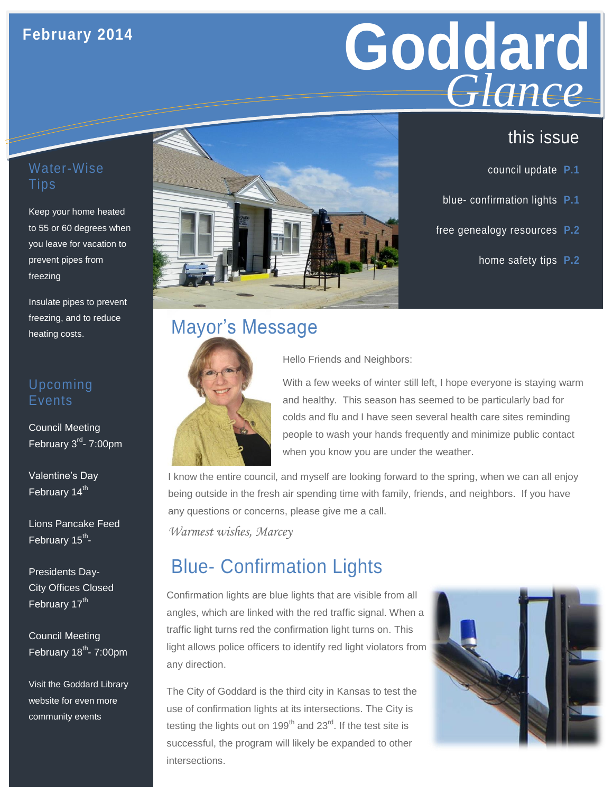## **February 2014**



- council update **P.1**
- blue- confirmation lights **P.1**
- free genealogy resources **P.2**
	- home safety tips **P.2**

#### Water-Wise Tips

Keep your home heated to 55 or 60 degrees when you leave for vacation to prevent pipes from freezing

Insulate pipes to prevent freezing, and to reduce heating costs.

#### Upcoming Events

Council Meeting February 3<sup>rd</sup>- 7:00pm

Valentine's Day February 14<sup>th</sup>

Lions Pancake Feed February 15<sup>th</sup>-

Presidents Day-City Offices Closed February 17<sup>th</sup>

Council Meeting February 18<sup>th</sup>- 7:00pm

Visit the Goddard Library website for even more community events



## Mayor's Message



Hello Friends and Neighbors:

With a few weeks of winter still left, I hope everyone is staying warm and healthy. This season has seemed to be particularly bad for colds and flu and I have seen several health care sites reminding people to wash your hands frequently and minimize public contact when you know you are under the weather.

I know the entire council, and myself are looking forward to the spring, when we can all enjoy being outside in the fresh air spending time with family, friends, and neighbors. If you have any questions or concerns, please give me a call.

*Warmest wishes, Marcey*

# Blue- Confirmation Lights

Confirmation lights are blue lights that are visible from all angles, which are linked with the red traffic signal. When a traffic light turns red the confirmation light turns on. This light allows police officers to identify red light violators from any direction.

The City of Goddard is the third city in Kansas to test the use of confirmation lights at its intersections. The City is testing the lights out on  $199<sup>th</sup>$  and  $23<sup>rd</sup>$ . If the test site is successful, the program will likely be expanded to other intersections.